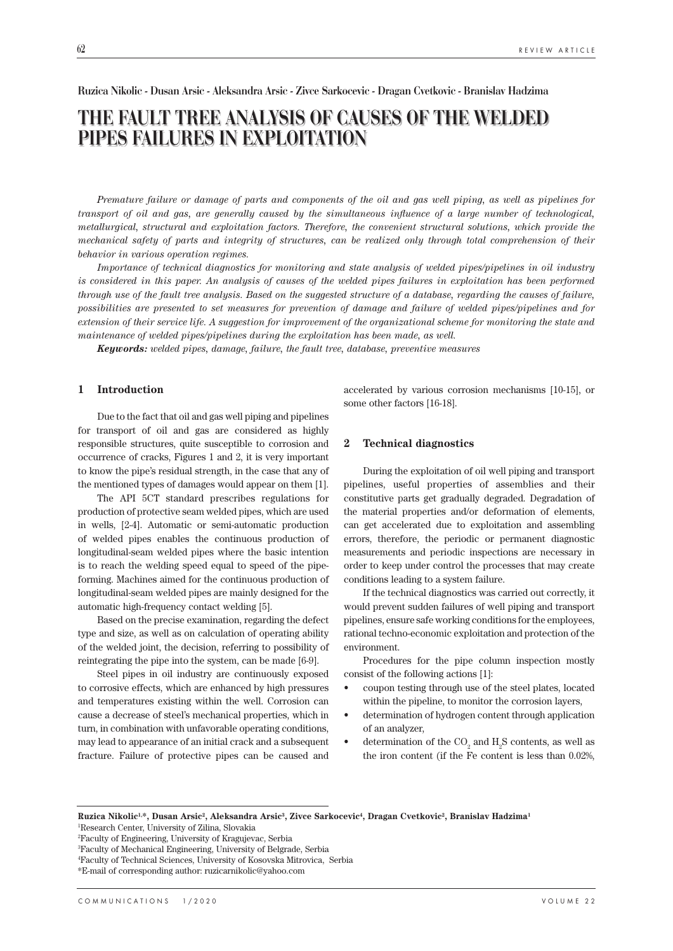### **Ruzica Nikolic - Dusan Arsic - Aleksandra Arsic - Zivce Sarkocevic - Dragan Cvetkovic - Branislav Hadzima**

# **THE FAULT TREE ANALYSIS OF CAUSES OF THE WELDED PIPES FAILURES IN EXPLOITATION**

*Premature failure or damage of parts and components of the oil and gas well piping, as well as pipelines for transport of oil and gas, are generally caused by the simultaneous influence of a large number of technological, metallurgical, structural and exploitation factors. Therefore, the convenient structural solutions, which provide the mechanical safety of parts and integrity of structures, can be realized only through total comprehension of their behavior in various operation regimes.*

*Importance of technical diagnostics for monitoring and state analysis of welded pipes/pipelines in oil industry is considered in this paper. An analysis of causes of the welded pipes failures in exploitation has been performed through use of the fault tree analysis. Based on the suggested structure of a database, regarding the causes of failure, possibilities are presented to set measures for prevention of damage and failure of welded pipes/pipelines and for extension of their service life. A suggestion for improvement of the organizational scheme for monitoring the state and maintenance of welded pipes/pipelines during the exploitation has been made, as well.*

*Keywords: welded pipes, damage, failure, the fault tree, database, preventive measures*

### **1 Introduction**

Due to the fact that oil and gas well piping and pipelines for transport of oil and gas are considered as highly responsible structures, quite susceptible to corrosion and occurrence of cracks, Figures 1 and 2, it is very important to know the pipe's residual strength, in the case that any of the mentioned types of damages would appear on them [1].

The API 5CT standard prescribes regulations for production of protective seam welded pipes, which are used in wells, [2-4]. Automatic or semi-automatic production of welded pipes enables the continuous production of longitudinal-seam welded pipes where the basic intention is to reach the welding speed equal to speed of the pipeforming. Machines aimed for the continuous production of longitudinal-seam welded pipes are mainly designed for the automatic high-frequency contact welding [5].

Based on the precise examination, regarding the defect type and size, as well as on calculation of operating ability of the welded joint, the decision, referring to possibility of reintegrating the pipe into the system, can be made [6-9].

Steel pipes in oil industry are continuously exposed to corrosive effects, which are enhanced by high pressures and temperatures existing within the well. Corrosion can cause a decrease of steel's mechanical properties, which in turn, in combination with unfavorable operating conditions, may lead to appearance of an initial crack and a subsequent fracture. Failure of protective pipes can be caused and accelerated by various corrosion mechanisms [10-15], or some other factors [16-18].

# **2 Technical diagnostics**

During the exploitation of oil well piping and transport pipelines, useful properties of assemblies and their constitutive parts get gradually degraded. Degradation of the material properties and/or deformation of elements, can get accelerated due to exploitation and assembling errors, therefore, the periodic or permanent diagnostic measurements and periodic inspections are necessary in order to keep under control the processes that may create conditions leading to a system failure.

If the technical diagnostics was carried out correctly, it would prevent sudden failures of well piping and transport pipelines, ensure safe working conditions for the employees, rational techno-economic exploitation and protection of the environment.

Procedures for the pipe column inspection mostly consist of the following actions [1]:

- coupon testing through use of the steel plates, located within the pipeline, to monitor the corrosion layers,
- determination of hydrogen content through application of an analyzer,
- determination of the  $CO_2$  and  $H_2S$  contents, as well as the iron content (if the Fe content is less than 0.02%,

**Ruzica Nikolic1,\*, Dusan Arsic2, Aleksandra Arsic3, Zivce Sarkocevic4, Dragan Cvetkovic2, Branislav Hadzima1** 1 Research Center, University of Zilina, Slovakia

<sup>2</sup> Faculty of Engineering, University of Kragujevac, Serbia

<sup>3</sup> Faculty of Mechanical Engineering, University of Belgrade, Serbia

<sup>4</sup> Faculty of Technical Sciences, University of Kosovska Mitrovica, Serbia \*E-mail of corresponding author: ruzicarnikolic@yahoo.com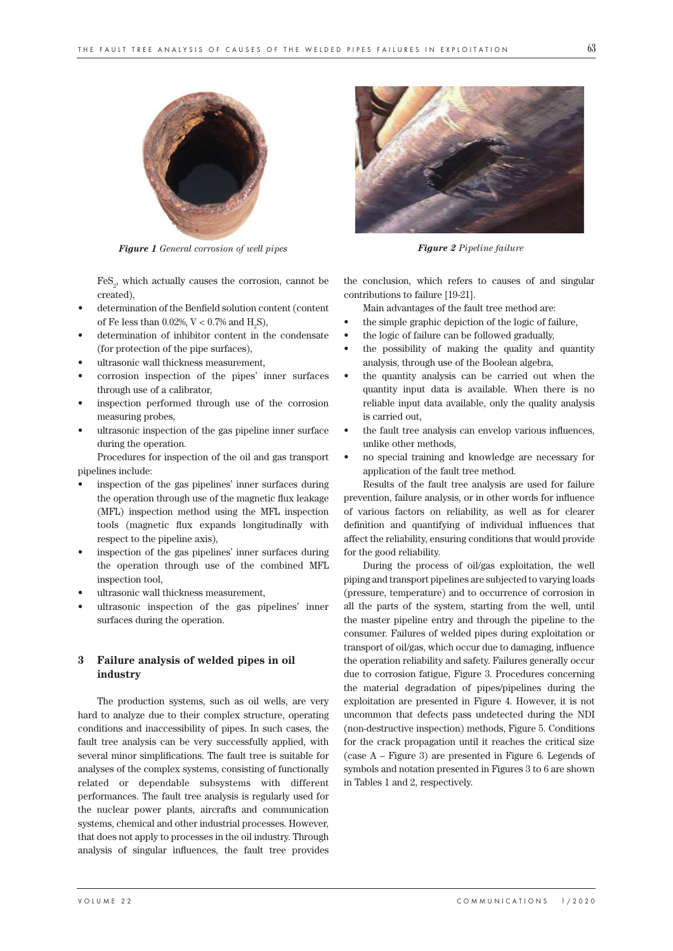

*Figure 1 General corrosion of well pipes Figure 2 Pipeline failure*

 $\mathrm{FeS}_2$  which actually causes the corrosion, cannot be created),

- determination of the Benfield solution content (content of Fe less than 0.02%, V < 0.7% and  $\mathrm{H}_2\mathrm{S}$ ),
- determination of inhibitor content in the condensate (for protection of the pipe surfaces),
- ultrasonic wall thickness measurement,
- corrosion inspection of the pipes' inner surfaces through use of a calibrator,
- inspection performed through use of the corrosion measuring probes,
- ultrasonic inspection of the gas pipeline inner surface during the operation.

Procedures for inspection of the oil and gas transport pipelines include:

- inspection of the gas pipelines' inner surfaces during the operation through use of the magnetic flux leakage (MFL) inspection method using the MFL inspection tools (magnetic flux expands longitudinally with respect to the pipeline axis),
- inspection of the gas pipelines' inner surfaces during the operation through use of the combined MFL inspection tool,
- ultrasonic wall thickness measurement,
- ultrasonic inspection of the gas pipelines' inner surfaces during the operation.

# **3 Failure analysis of welded pipes in oil industry**

The production systems, such as oil wells, are very hard to analyze due to their complex structure, operating conditions and inaccessibility of pipes. In such cases, the fault tree analysis can be very successfully applied, with several minor simplifications. The fault tree is suitable for analyses of the complex systems, consisting of functionally related or dependable subsystems with different performances. The fault tree analysis is regularly used for the nuclear power plants, aircrafts and communication systems, chemical and other industrial processes. However, that does not apply to processes in the oil industry. Through analysis of singular influences, the fault tree provides



the conclusion, which refers to causes of and singular contributions to failure [19-21].

Main advantages of the fault tree method are:

- the simple graphic depiction of the logic of failure,
- the logic of failure can be followed gradually,
- the possibility of making the quality and quantity analysis, through use of the Boolean algebra,
- the quantity analysis can be carried out when the quantity input data is available. When there is no reliable input data available, only the quality analysis is carried out,
- the fault tree analysis can envelop various influences, unlike other methods,
- no special training and knowledge are necessary for application of the fault tree method.

Results of the fault tree analysis are used for failure prevention, failure analysis, or in other words for influence of various factors on reliability, as well as for clearer definition and quantifying of individual influences that affect the reliability, ensuring conditions that would provide for the good reliability.

During the process of oil/gas exploitation, the well piping and transport pipelines are subjected to varying loads (pressure, temperature) and to occurrence of corrosion in all the parts of the system, starting from the well, until the master pipeline entry and through the pipeline to the consumer. Failures of welded pipes during exploitation or transport of oil/gas, which occur due to damaging, influence the operation reliability and safety. Failures generally occur due to corrosion fatigue, Figure 3. Procedures concerning the material degradation of pipes/pipelines during the exploitation are presented in Figure 4. However, it is not uncommon that defects pass undetected during the NDI (non-destructive inspection) methods, Figure 5. Conditions for the crack propagation until it reaches the critical size (case A – Figure 3) are presented in Figure 6. Legends of symbols and notation presented in Figures 3 to 6 are shown in Tables 1 and 2, respectively.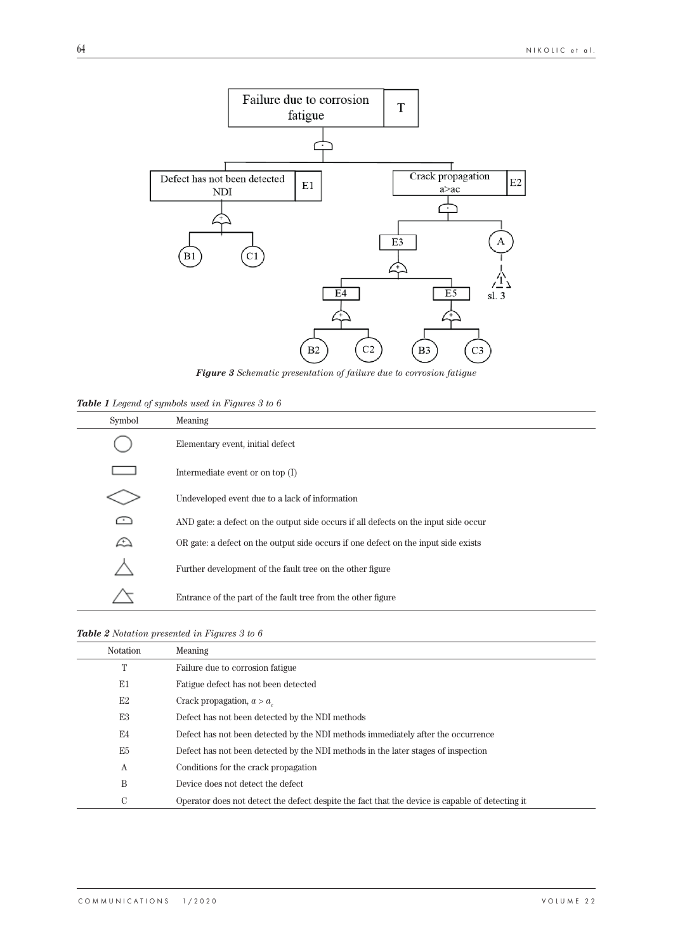

*Figure 3 Schematic presentation of failure due to corrosion fatigue*

*Table 1 Legend of symbols used in Figures 3 to 6*

| Symbol | Meaning                                                                             |
|--------|-------------------------------------------------------------------------------------|
|        | Elementary event, initial defect                                                    |
|        | Intermediate event or on top $(I)$                                                  |
|        | Undeveloped event due to a lack of information                                      |
| ∩      | AND gate: a defect on the output side occurs if all defects on the input side occur |
| ⚠      | OR gate: a defect on the output side occurs if one defect on the input side exists  |
|        | Further development of the fault tree on the other figure                           |
|        | Entrance of the part of the fault tree from the other figure                        |

# *Table 2 Notation presented in Figures 3 to 6*

l,

| <b>Notation</b> | Meaning                                                                                         |
|-----------------|-------------------------------------------------------------------------------------------------|
| Т               | Failure due to corrosion fatigue                                                                |
| E1              | Fatigue defect has not been detected                                                            |
| E2              | Crack propagation, $a > a$                                                                      |
| E <sub>3</sub>  | Defect has not been detected by the NDI methods                                                 |
| E4              | Defect has not been detected by the NDI methods immediately after the occurrence                |
| E <sub>5</sub>  | Defect has not been detected by the NDI methods in the later stages of inspection               |
| A               | Conditions for the crack propagation                                                            |
| Β               | Device does not detect the defect.                                                              |
| С               | Operator does not detect the defect despite the fact that the device is capable of detecting it |
|                 |                                                                                                 |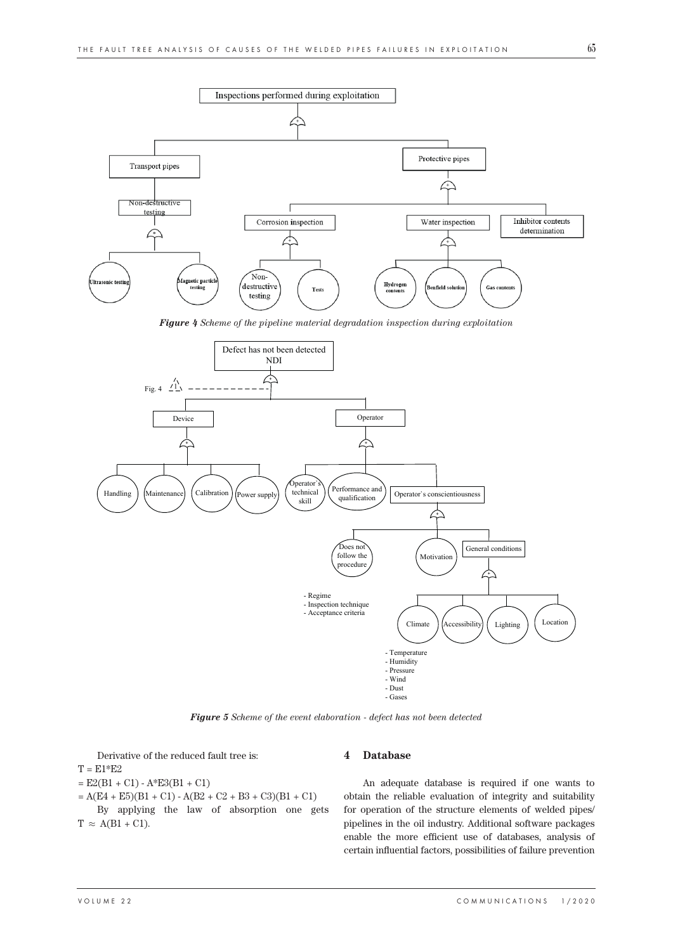

*Figure 4 Scheme of the pipeline material degradation inspection during exploitation*



*Figure 5 Scheme of the event elaboration - defect has not been detected*

Derivative of the reduced fault tree is:

 $T = E1*E2$ 

 $=$  E2(B1 + C1) - A\*E3(B1 + C1)

 $= A(E4 + E5)(B1 + C1) - A(B2 + C2 + B3 + C3)(B1 + C1)$ 

By applying the law of absorption one gets  $T \approx A(B1 + C1)$ .

#### **4 Database**

An adequate database is required if one wants to obtain the reliable evaluation of integrity and suitability for operation of the structure elements of welded pipes/ pipelines in the oil industry. Additional software packages enable the more efficient use of databases, analysis of certain influential factors, possibilities of failure prevention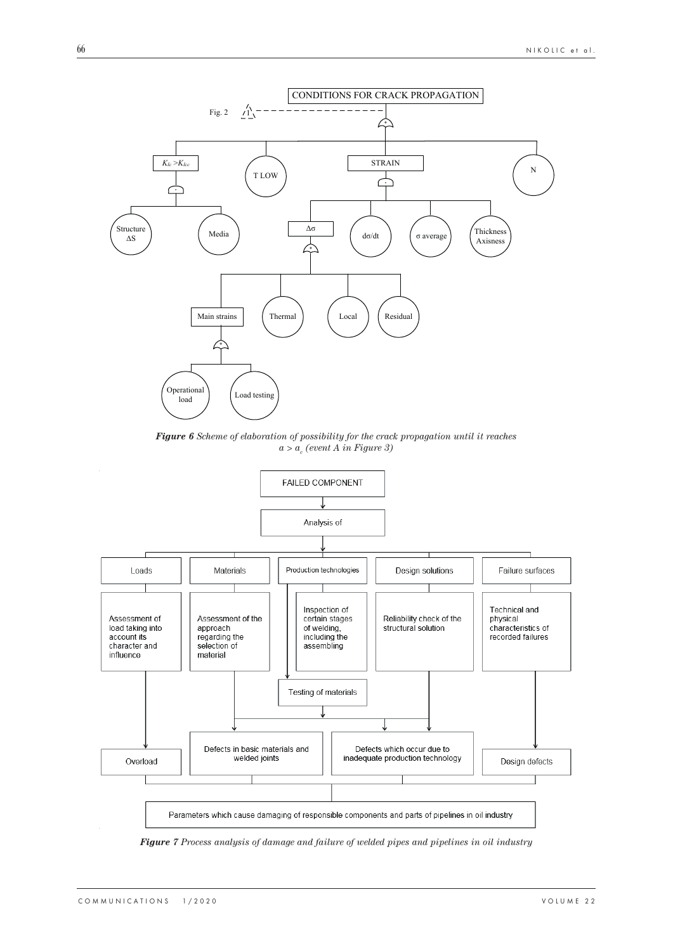

*Figure 6 Scheme of elaboration of possibility for the crack propagation until it reaches*   $a > a_c$  (event A in Figure 3)



*Figure 7 Process analysis of damage and failure of welded pipes and pipelines in oil industry*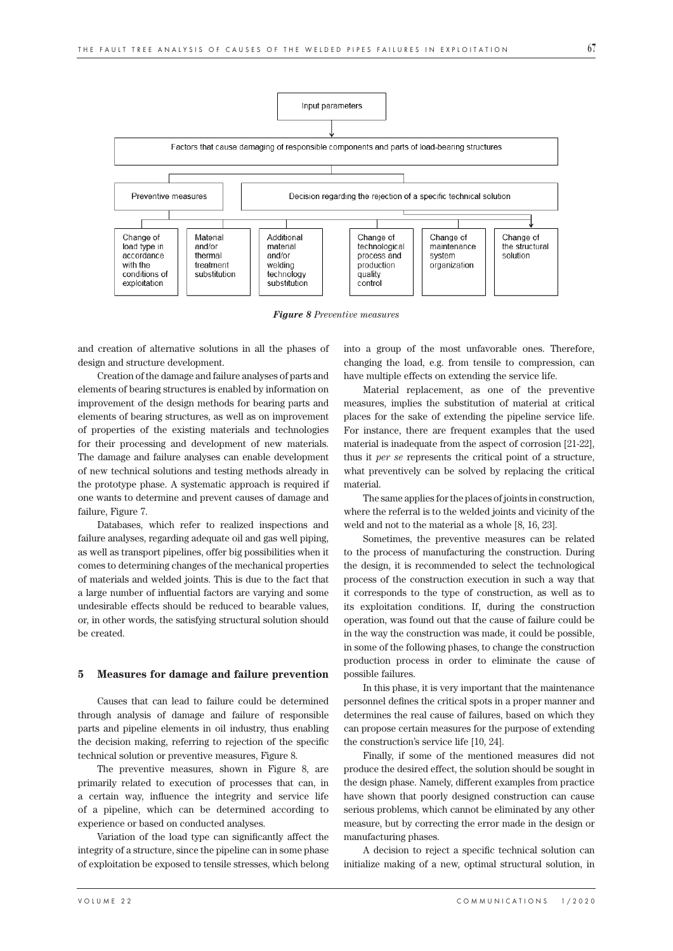

*Figure 8 Preventive measures*

and creation of alternative solutions in all the phases of design and structure development.

Creation of the damage and failure analyses of parts and elements of bearing structures is enabled by information on improvement of the design methods for bearing parts and elements of bearing structures, as well as on improvement of properties of the existing materials and technologies for their processing and development of new materials. The damage and failure analyses can enable development of new technical solutions and testing methods already in the prototype phase. A systematic approach is required if one wants to determine and prevent causes of damage and failure, Figure 7.

Databases, which refer to realized inspections and failure analyses, regarding adequate oil and gas well piping, as well as transport pipelines, offer big possibilities when it comes to determining changes of the mechanical properties of materials and welded joints. This is due to the fact that a large number of influential factors are varying and some undesirable effects should be reduced to bearable values, or, in other words, the satisfying structural solution should be created.

#### **5 Measures for damage and failure prevention**

Causes that can lead to failure could be determined through analysis of damage and failure of responsible parts and pipeline elements in oil industry, thus enabling the decision making, referring to rejection of the specific technical solution or preventive measures, Figure 8.

The preventive measures, shown in Figure 8, are primarily related to execution of processes that can, in a certain way, influence the integrity and service life of a pipeline, which can be determined according to experience or based on conducted analyses.

Variation of the load type can significantly affect the integrity of a structure, since the pipeline can in some phase of exploitation be exposed to tensile stresses, which belong into a group of the most unfavorable ones. Therefore, changing the load, e.g. from tensile to compression, can have multiple effects on extending the service life.

Material replacement, as one of the preventive measures, implies the substitution of material at critical places for the sake of extending the pipeline service life. For instance, there are frequent examples that the used material is inadequate from the aspect of corrosion [21-22], thus it *per se* represents the critical point of a structure, what preventively can be solved by replacing the critical material.

The same applies for the places of joints in construction, where the referral is to the welded joints and vicinity of the weld and not to the material as a whole [8, 16, 23].

Sometimes, the preventive measures can be related to the process of manufacturing the construction. During the design, it is recommended to select the technological process of the construction execution in such a way that it corresponds to the type of construction, as well as to its exploitation conditions. If, during the construction operation, was found out that the cause of failure could be in the way the construction was made, it could be possible, in some of the following phases, to change the construction production process in order to eliminate the cause of possible failures.

In this phase, it is very important that the maintenance personnel defines the critical spots in a proper manner and determines the real cause of failures, based on which they can propose certain measures for the purpose of extending the construction's service life [10, 24].

Finally, if some of the mentioned measures did not produce the desired effect, the solution should be sought in the design phase. Namely, different examples from practice have shown that poorly designed construction can cause serious problems, which cannot be eliminated by any other measure, but by correcting the error made in the design or manufacturing phases.

A decision to reject a specific technical solution can initialize making of a new, optimal structural solution, in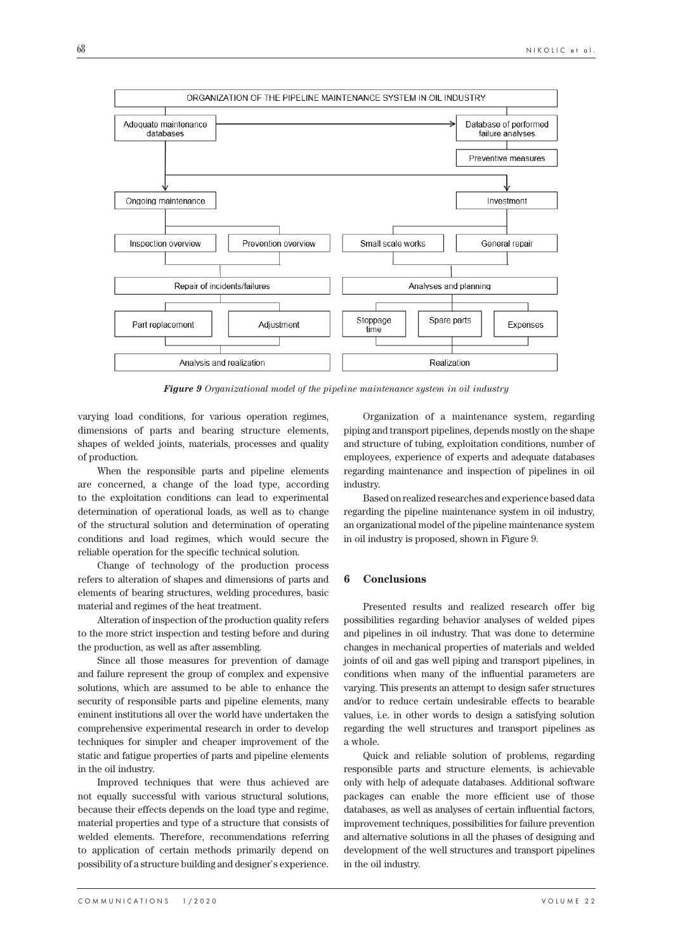

*Figure 9 Organizational model of the pipeline maintenance system in oil industry*

varying load conditions, for various operation regimes, dimensions of parts and bearing structure elements, shapes of welded joints, materials, processes and quality of production.

When the responsible parts and pipeline elements are concerned, a change of the load type, according to the exploitation conditions can lead to experimental determination of operational loads, as well as to change of the structural solution and determination of operating conditions and load regimes, which would secure the reliable operation for the specific technical solution.

Change of technology of the production process refers to alteration of shapes and dimensions of parts and elements of bearing structures, welding procedures, basic material and regimes of the heat treatment.

Alteration of inspection of the production quality refers to the more strict inspection and testing before and during the production, as well as after assembling.

Since all those measures for prevention of damage and failure represent the group of complex and expensive solutions, which are assumed to be able to enhance the security of responsible parts and pipeline elements, many eminent institutions all over the world have undertaken the comprehensive experimental research in order to develop techniques for simpler and cheaper improvement of the static and fatigue properties of parts and pipeline elements in the oil industry.

Improved techniques that were thus achieved are not equally successful with various structural solutions, because their effects depends on the load type and regime, material properties and type of a structure that consists of welded elements. Therefore, recommendations referring to application of certain methods primarily depend on possibility of a structure building and designer`s experience.

Organization of a maintenance system, regarding piping and transport pipelines, depends mostly on the shape and structure of tubing, exploitation conditions, number of employees, experience of experts and adequate databases regarding maintenance and inspection of pipelines in oil industry.

Based on realized researches and experience based data regarding the pipeline maintenance system in oil industry, an organizational model of the pipeline maintenance system in oil industry is proposed, shown in Figure 9.

### **6 Conclusions**

Presented results and realized research offer big possibilities regarding behavior analyses of welded pipes and pipelines in oil industry. That was done to determine changes in mechanical properties of materials and welded joints of oil and gas well piping and transport pipelines, in conditions when many of the influential parameters are varying. This presents an attempt to design safer structures and/or to reduce certain undesirable effects to bearable values, i.e. in other words to design a satisfying solution regarding the well structures and transport pipelines as a whole.

Quick and reliable solution of problems, regarding responsible parts and structure elements, is achievable only with help of adequate databases. Additional software packages can enable the more efficient use of those databases, as well as analyses of certain influential factors, improvement techniques, possibilities for failure prevention and alternative solutions in all the phases of designing and development of the well structures and transport pipelines in the oil industry.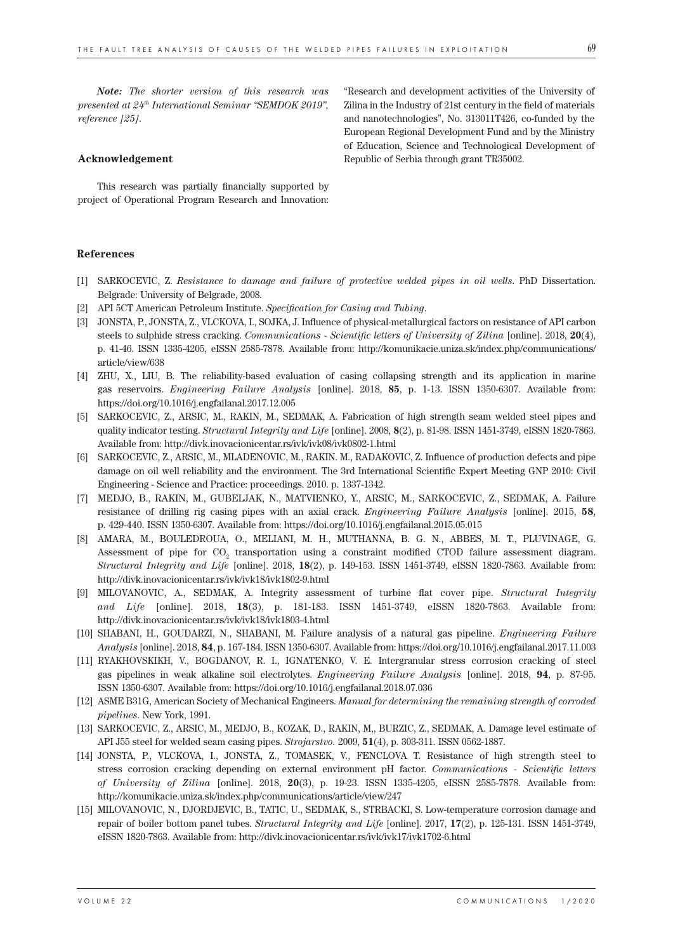*Note: The shorter version of this research was presented at 24th International Seminar "SEMDOK 2019", reference [25].*

#### **Acknowledgement**

This research was partially financially supported by project of Operational Program Research and Innovation:

**References**

- [1] SARKOCEVIC, Z. *Resistance to damage and failure of protective welded pipes in oil wells*. PhD Dissertation. Belgrade: University of Belgrade, 2008.
- [2] API 5CT American Petroleum Institute. *Specification for Casing and Tubing*.
- [3] JONSTA, P., JONSTA, Z., VLCKOVA, I., SOJKA, J. Influence of physical-metallurgical factors on resistance of API carbon steels to sulphide stress cracking. *Communications - Scientific letters of University of Zilina* [online]. 2018, **20**(4), p. 41-46. ISSN 1335-4205, eISSN 2585-7878. Available from: http://komunikacie.uniza.sk/index.php/communications/ article/view/638
- [4] ZHU, X., LIU, B. The reliability-based evaluation of casing collapsing strength and its application in marine gas reservoirs. *Engineering Failure Analysis* [online]. 2018, **85**, p. 1-13. ISSN 1350-6307. Available from: https://doi.org/10.1016/j.engfailanal.2017.12.005
- [5] SARKOCEVIC, Z., ARSIC, M., RAKIN, M., SEDMAK, A. Fabrication of high strength seam welded steel pipes and quality indicator testing. *Structural Integrity and Life* [online]. 2008, **8**(2), p. 81-98. ISSN 1451-3749, eISSN 1820-7863. Available from: http://divk.inovacionicentar.rs/ivk/ivk08/ivk0802-1.html
- [6] SARKOCEVIC, Z., ARSIC, M., MLADENOVIC, M., RAKIN. M., RADAKOVIC, Z. Influence of production defects and pipe damage on oil well reliability and the environment. The 3rd International Scientific Expert Meeting GNP 2010: Civil Engineering - Science and Practice: proceedings. 2010. p. 1337-1342.
- [7] MEDJO, B., RAKIN, M., GUBELJAK, N., MATVIENKO, Y., ARSIC, M., SARKOCEVIC, Z., SEDMAK, A. Failure resistance of drilling rig casing pipes with an axial crack. *Engineering Failure Analysis* [online]. 2015, **58**, p. 429-440. ISSN 1350-6307. Available from: https://doi.org/10.1016/j.engfailanal.2015.05.015
- [8] AMARA, M., BOULEDROUA, O., MELIANI, M. H., MUTHANNA, B. G. N., ABBES, M. T., PLUVINAGE, G. Assessment of pipe for  $\mathrm{CO}_2$  transportation using a constraint modified CTOD failure assessment diagram. *Structural Integrity and Life* [online]. 2018, **18**(2), p. 149-153. ISSN 1451-3749, eISSN 1820-7863. Available from: http://divk.inovacionicentar.rs/ivk/ivk18/ivk1802-9.html
- [9] MILOVANOVIC, A., SEDMAK, A. Integrity assessment of turbine flat cover pipe. *Structural Integrity and Life* [online]. 2018, **18**(3), p. 181-183. ISSN 1451-3749, eISSN 1820-7863. Available from: http://divk.inovacionicentar.rs/ivk/ivk18/ivk1803-4.html
- [10] SHABANI, H., GOUDARZI, N., SHABANI, M. Failure analysis of a natural gas pipeline. *Engineering Failure Analysis* [online]. 2018, **84**, p. 167-184. ISSN 1350-6307. Available from: https://doi.org/10.1016/j.engfailanal.2017.11.003
- [11] RYAKHOVSKIKH, V., BOGDANOV, R. I., IGNATENKO, V. E. Intergranular stress corrosion cracking of steel gas pipelines in weak alkaline soil electrolytes. *Engineering Failure Analysis* [online]. 2018, **94**, p. 87-95. ISSN 1350-6307. Available from: https://doi.org/10.1016/j.engfailanal.2018.07.036
- [12] ASME B31G, American Society of Mechanical Engineers. *Manual for determining the remaining strength of corroded pipelines*. New York, 1991.
- [13] SARKOCEVIC, Z., ARSIC, M., MEDJO, B., KOZAK, D., RAKIN, M,, BURZIC, Z., SEDMAK, A. Damage level estimate of API J55 steel for welded seam casing pipes. *Strojarstvo.* 2009, **51**(4), p. 303-311. ISSN 0562-1887.
- [14] JONSTA, P., VLCKOVA, I., JONSTA, Z., TOMASEK, V., FENCLOVA T. Resistance of high strength steel to stress corrosion cracking depending on external environment pH factor. *Communications - Scientific letters of University of Zilina* [online]. 2018, **20**(3), p. 19-23. ISSN 1335-4205, eISSN 2585-7878. Available from: http://komunikacie.uniza.sk/index.php/communications/article/view/247
- [15] MILOVANOVIC, N., DJORDJEVIC, B., TATIC, U., SEDMAK, S., STRBACKI, S. Low-temperature corrosion damage and repair of boiler bottom panel tubes. *Structural Integrity and Life* [online]. 2017, **17**(2), p. 125-131. ISSN 1451-3749, eISSN 1820-7863. Available from: http://divk.inovacionicentar.rs/ivk/ivk17/ivk1702-6.html

"Research and development activities of the University of Zilina in the Industry of 21st century in the field of materials and nanotechnologies", No. 313011T426, co-funded by the European Regional Development Fund and by the Ministry of Education, Science and Technological Development of Republic of Serbia through grant TR35002.